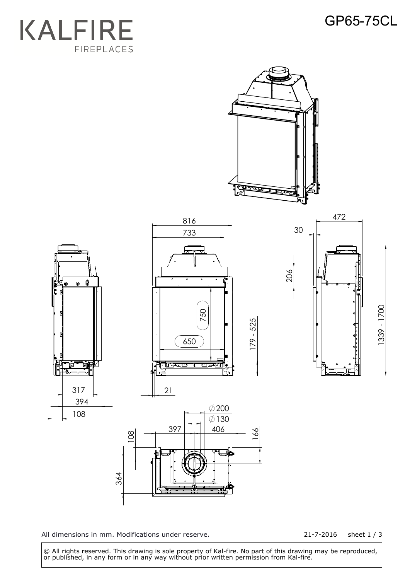## GP65-75CL





All dimensions in mm. Modifications under reserve.

21-7-2016 sheet 1 / 3

1339 - 1700

1339 - 1700

 © All rights reserved. This drawing is sole property of Kal-fire. No part of this drawing may be reproduced, or published, in any form or in any way without prior written permission from Kal-fire.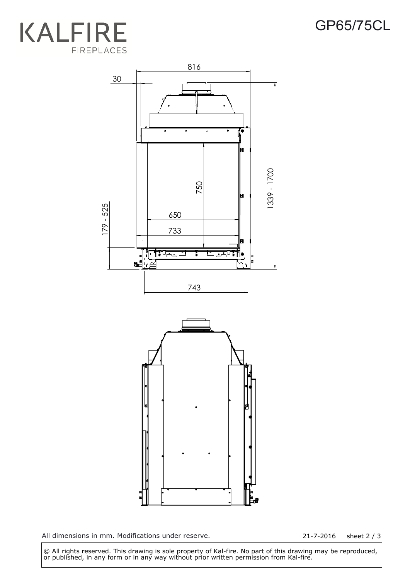



All dimensions in mm. Modifications under reserve. 21-7-2016 sheet 2 / 3

 © All rights reserved. This drawing is sole property of Kal-fire. No part of this drawing may be reproduced, or published, in any form or in any way without prior written permission from Kal-fire.